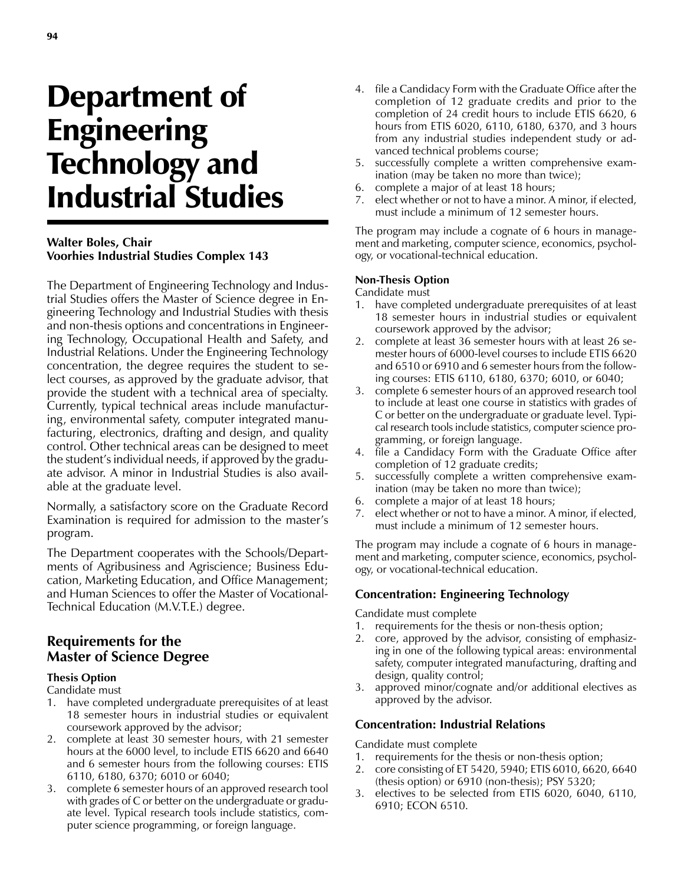# Department of Engineering Technology and Industrial Studies

## **Walter Boles, Chair Voorhies Industrial Studies Complex 143**

The Department of Engineering Technology and Industrial Studies offers the Master of Science degree in Engineering Technology and Industrial Studies with thesis and non-thesis options and concentrations in Engineering Technology, Occupational Health and Safety, and Industrial Relations. Under the Engineering Technology concentration, the degree requires the student to select courses, as approved by the graduate advisor, that provide the student with a technical area of specialty. Currently, typical technical areas include manufacturing, environmental safety, computer integrated manufacturing, electronics, drafting and design, and quality control. Other technical areas can be designed to meet the student's individual needs, if approved by the graduate advisor. A minor in Industrial Studies is also available at the graduate level.

Normally, a satisfactory score on the Graduate Record Examination is required for admission to the master's program.

The Department cooperates with the Schools/Departments of Agribusiness and Agriscience; Business Education, Marketing Education, and Office Management; and Human Sciences to offer the Master of Vocational-Technical Education (M.V.T.E.) degree.

# **Requirements for the Master of Science Degree**

## **Thesis Option**

Candidate must

- 1. have completed undergraduate prerequisites of at least 18 semester hours in industrial studies or equivalent coursework approved by the advisor;
- 2. complete at least 30 semester hours, with 21 semester hours at the 6000 level, to include ETIS 6620 and 6640 and 6 semester hours from the following courses: ETIS 6110, 6180, 6370; 6010 or 6040;
- 3. complete 6 semester hours of an approved research tool with grades of C or better on the undergraduate or graduate level. Typical research tools include statistics, computer science programming, or foreign language.
- 4. file a Candidacy Form with the Graduate Office after the completion of 12 graduate credits and prior to the completion of 24 credit hours to include ETIS 6620, 6 hours from ETIS 6020, 6110, 6180, 6370, and 3 hours from any industrial studies independent study or advanced technical problems course;
- 5. successfully complete a written comprehensive examination (may be taken no more than twice);
- 6. complete a major of at least 18 hours;
- 7. elect whether or not to have a minor. A minor, if elected, must include a minimum of 12 semester hours.

The program may include a cognate of 6 hours in management and marketing, computer science, economics, psychology, or vocational-technical education.

### **Non-Thesis Option**

Candidate must

- 1. have completed undergraduate prerequisites of at least 18 semester hours in industrial studies or equivalent coursework approved by the advisor;
- 2. complete at least 36 semester hours with at least 26 semester hours of 6000-level courses to include ETIS 6620 and 6510 or 6910 and 6 semester hours from the following courses: ETIS 6110, 6180, 6370; 6010, or 6040;
- 3. complete 6 semester hours of an approved research tool to include at least one course in statistics with grades of C or better on the undergraduate or graduate level. Typical research tools include statistics, computer science programming, or foreign language.
- 4. file a Candidacy Form with the Graduate Office after completion of 12 graduate credits;
- 5. successfully complete a written comprehensive examination (may be taken no more than twice);
- 6. complete a major of at least 18 hours;
- 7. elect whether or not to have a minor. A minor, if elected, must include a minimum of 12 semester hours.

The program may include a cognate of 6 hours in management and marketing, computer science, economics, psychology, or vocational-technical education.

## **Concentration: Engineering Technology**

Candidate must complete

- 1. requirements for the thesis or non-thesis option;
- 2. core, approved by the advisor, consisting of emphasizing in one of the following typical areas: environmental safety, computer integrated manufacturing, drafting and design, quality control;
- 3. approved minor/cognate and/or additional electives as approved by the advisor.

## **Concentration: Industrial Relations**

Candidate must complete

- 1. requirements for the thesis or non-thesis option;
- 2. core consisting of ET 5420, 5940; ETIS 6010, 6620, 6640 (thesis option) or 6910 (non-thesis); PSY 5320;
- 3. electives to be selected from ETIS 6020, 6040, 6110, 6910; ECON 6510.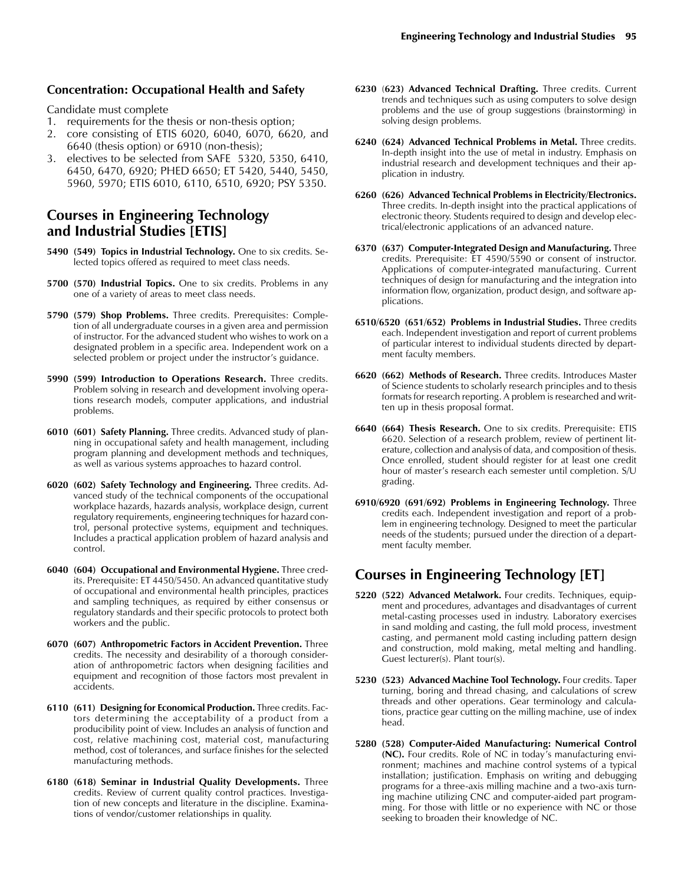#### **Concentration: Occupational Health and Safety**

Candidate must complete

- 1. requirements for the thesis or non-thesis option;
- 2. core consisting of ETIS 6020, 6040, 6070, 6620, and 6640 (thesis option) or 6910 (non-thesis);
- 3. electives to be selected from SAFE 5320, 5350, 6410, 6450, 6470, 6920; PHED 6650; ET 5420, 5440, 5450, 5960, 5970; ETIS 6010, 6110, 6510, 6920; PSY 5350.

# **Courses in Engineering Technology and Industrial Studies [ETIS]**

- **5490 (549) Topics in Industrial Technology.** One to six credits. Selected topics offered as required to meet class needs.
- **5700 (570) Industrial Topics.** One to six credits. Problems in any one of a variety of areas to meet class needs.
- **5790 (579) Shop Problems.** Three credits. Prerequisites: Completion of all undergraduate courses in a given area and permission of instructor. For the advanced student who wishes to work on a designated problem in a specific area. Independent work on a selected problem or project under the instructor's guidance.
- **5990 (599) Introduction to Operations Research.** Three credits. Problem solving in research and development involving operations research models, computer applications, and industrial problems.
- **6010 (601) Safety Planning.** Three credits. Advanced study of planning in occupational safety and health management, including program planning and development methods and techniques, as well as various systems approaches to hazard control.
- **6020 (602) Safety Technology and Engineering.** Three credits. Advanced study of the technical components of the occupational workplace hazards, hazards analysis, workplace design, current regulatory requirements, engineering techniques for hazard control, personal protective systems, equipment and techniques. Includes a practical application problem of hazard analysis and control.
- **6040 (604) Occupational and Environmental Hygiene.** Three credits. Prerequisite: ET 4450/5450. An advanced quantitative study of occupational and environmental health principles, practices and sampling techniques, as required by either consensus or regulatory standards and their specific protocols to protect both workers and the public.
- **6070 (607) Anthropometric Factors in Accident Prevention.** Three credits. The necessity and desirability of a thorough consideration of anthropometric factors when designing facilities and equipment and recognition of those factors most prevalent in accidents.
- **6110 (611) Designing for Economical Production.** Three credits. Factors determining the acceptability of a product from a producibility point of view. Includes an analysis of function and cost, relative machining cost, material cost, manufacturing method, cost of tolerances, and surface finishes for the selected manufacturing methods.
- **6180 (618) Seminar in Industrial Quality Developments.** Three credits. Review of current quality control practices. Investigation of new concepts and literature in the discipline. Examinations of vendor/customer relationships in quality.
- **6230** (**623) Advanced Technical Drafting.** Three credits. Current trends and techniques such as using computers to solve design problems and the use of group suggestions (brainstorming) in solving design problems.
- **6240 (624) Advanced Technical Problems in Metal.** Three credits. In-depth insight into the use of metal in industry. Emphasis on industrial research and development techniques and their application in industry.
- **6260 (626) Advanced Technical Problems in Electricity/Electronics.** Three credits. In-depth insight into the practical applications of electronic theory. Students required to design and develop electrical/electronic applications of an advanced nature.
- **6370 (637) Computer-Integrated Design and Manufacturing.** Three credits. Prerequisite: ET 4590/5590 or consent of instructor. Applications of computer-integrated manufacturing. Current techniques of design for manufacturing and the integration into information flow, organization, product design, and software applications.
- **6510/6520 (651/652) Problems in Industrial Studies.** Three credits each. Independent investigation and report of current problems of particular interest to individual students directed by department faculty members.
- **6620 (662) Methods of Research.** Three credits. Introduces Master of Science students to scholarly research principles and to thesis formats for research reporting. A problem is researched and written up in thesis proposal format.
- **6640 (664) Thesis Research.** One to six credits. Prerequisite: ETIS 6620. Selection of a research problem, review of pertinent literature, collection and analysis of data, and composition of thesis. Once enrolled, student should register for at least one credit hour of master's research each semester until completion. S/U grading.
- **6910/6920 (691/692) Problems in Engineering Technology.** Three credits each. Independent investigation and report of a problem in engineering technology. Designed to meet the particular needs of the students; pursued under the direction of a department faculty member.

# **Courses in Engineering Technology [ET]**

- **5220 (522) Advanced Metalwork.** Four credits. Techniques, equipment and procedures, advantages and disadvantages of current metal-casting processes used in industry. Laboratory exercises in sand molding and casting, the full mold process, investment casting, and permanent mold casting including pattern design and construction, mold making, metal melting and handling. Guest lecturer(s). Plant tour(s).
- **5230 (523) Advanced Machine Tool Technology.** Four credits. Taper turning, boring and thread chasing, and calculations of screw threads and other operations. Gear terminology and calculations, practice gear cutting on the milling machine, use of index head.
- **5280 (528) Computer-Aided Manufacturing: Numerical Control (NC).** Four credits. Role of NC in today's manufacturing environment; machines and machine control systems of a typical installation; justification. Emphasis on writing and debugging programs for a three-axis milling machine and a two-axis turning machine utilizing CNC and computer-aided part programming. For those with little or no experience with NC or those seeking to broaden their knowledge of NC.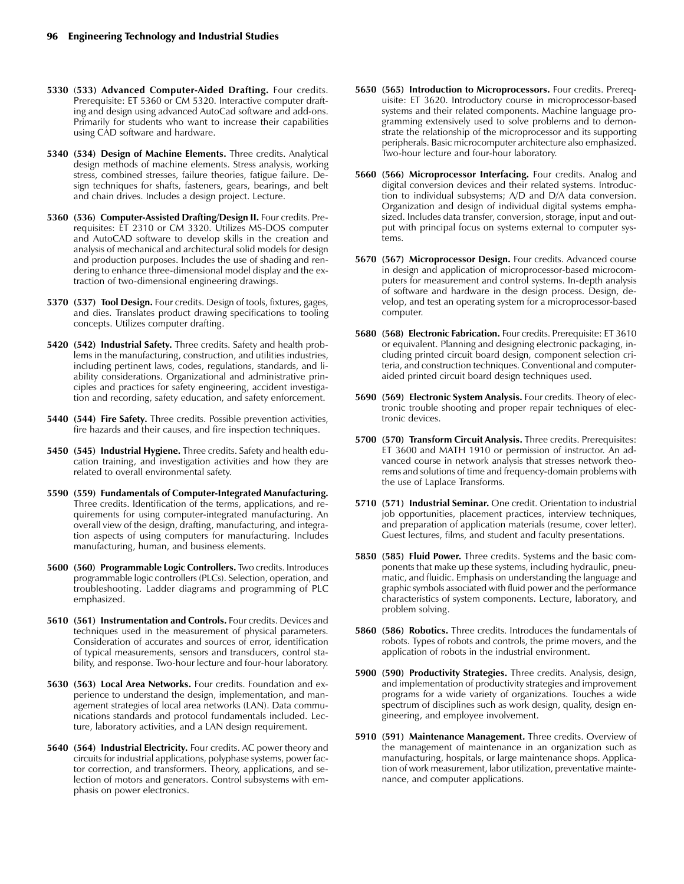- **5330** (**533) Advanced Computer-Aided Drafting.** Four credits. Prerequisite: ET 5360 or CM 5320. Interactive computer drafting and design using advanced AutoCad software and add-ons. Primarily for students who want to increase their capabilities using CAD software and hardware.
- **5340 (534) Design of Machine Elements.** Three credits. Analytical design methods of machine elements. Stress analysis, working stress, combined stresses, failure theories, fatigue failure. Design techniques for shafts, fasteners, gears, bearings, and belt and chain drives. Includes a design project. Lecture.
- **5360 (536) Computer-Assisted Drafting/Design II.** Four credits. Prerequisites: ET 2310 or CM 3320. Utilizes MS-DOS computer and AutoCAD software to develop skills in the creation and analysis of mechanical and architectural solid models for design and production purposes. Includes the use of shading and rendering to enhance three-dimensional model display and the extraction of two-dimensional engineering drawings.
- **5370 (537) Tool Design.** Four credits. Design of tools, fixtures, gages, and dies. Translates product drawing specifications to tooling concepts. Utilizes computer drafting.
- **5420 (542) Industrial Safety.** Three credits. Safety and health problems in the manufacturing, construction, and utilities industries, including pertinent laws, codes, regulations, standards, and liability considerations. Organizational and administrative principles and practices for safety engineering, accident investigation and recording, safety education, and safety enforcement.
- **5440 (544) Fire Safety.** Three credits. Possible prevention activities, fire hazards and their causes, and fire inspection techniques.
- **5450 (545) Industrial Hygiene.** Three credits. Safety and health education training, and investigation activities and how they are related to overall environmental safety.
- **5590 (559) Fundamentals of Computer-Integrated Manufacturing.** Three credits. Identification of the terms, applications, and requirements for using computer-integrated manufacturing. An overall view of the design, drafting, manufacturing, and integration aspects of using computers for manufacturing. Includes manufacturing, human, and business elements.
- **5600 (560) Programmable Logic Controllers.** Two credits. Introduces programmable logic controllers (PLCs). Selection, operation, and troubleshooting. Ladder diagrams and programming of PLC emphasized.
- **5610 (561) Instrumentation and Controls.** Four credits. Devices and techniques used in the measurement of physical parameters. Consideration of accurates and sources of error, identification of typical measurements, sensors and transducers, control stability, and response. Two-hour lecture and four-hour laboratory.
- **5630 (563) Local Area Networks.** Four credits. Foundation and experience to understand the design, implementation, and management strategies of local area networks (LAN). Data communications standards and protocol fundamentals included. Lecture, laboratory activities, and a LAN design requirement.
- **5640 (564) Industrial Electricity.** Four credits. AC power theory and circuits for industrial applications, polyphase systems, power factor correction, and transformers. Theory, applications, and selection of motors and generators. Control subsystems with emphasis on power electronics.
- **5650 (565) Introduction to Microprocessors.** Four credits. Prerequisite: ET 3620. Introductory course in microprocessor-based systems and their related components. Machine language programming extensively used to solve problems and to demonstrate the relationship of the microprocessor and its supporting peripherals. Basic microcomputer architecture also emphasized. Two-hour lecture and four-hour laboratory.
- **5660 (566) Microprocessor Interfacing.** Four credits. Analog and digital conversion devices and their related systems. Introduction to individual subsystems; A/D and D/A data conversion. Organization and design of individual digital systems emphasized. Includes data transfer, conversion, storage, input and output with principal focus on systems external to computer systems.
- **5670 (567) Microprocessor Design.** Four credits. Advanced course in design and application of microprocessor-based microcomputers for measurement and control systems. In-depth analysis of software and hardware in the design process. Design, develop, and test an operating system for a microprocessor-based computer.
- **5680 (568) Electronic Fabrication.** Four credits. Prerequisite: ET 3610 or equivalent. Planning and designing electronic packaging, including printed circuit board design, component selection criteria, and construction techniques. Conventional and computeraided printed circuit board design techniques used.
- **5690 (569) Electronic System Analysis.** Four credits. Theory of electronic trouble shooting and proper repair techniques of electronic devices.
- **5700 (570) Transform Circuit Analysis.** Three credits. Prerequisites: ET 3600 and MATH 1910 or permission of instructor. An advanced course in network analysis that stresses network theorems and solutions of time and frequency-domain problems with the use of Laplace Transforms.
- **5710 (571) Industrial Seminar.** One credit. Orientation to industrial job opportunities, placement practices, interview techniques, and preparation of application materials (resume, cover letter). Guest lectures, films, and student and faculty presentations.
- **5850 (585) Fluid Power.** Three credits. Systems and the basic components that make up these systems, including hydraulic, pneumatic, and fluidic. Emphasis on understanding the language and graphic symbols associated with fluid power and the performance characteristics of system components. Lecture, laboratory, and problem solving.
- **5860 (586) Robotics.** Three credits. Introduces the fundamentals of robots. Types of robots and controls, the prime movers, and the application of robots in the industrial environment.
- **5900 (590) Productivity Strategies.** Three credits. Analysis, design, and implementation of productivity strategies and improvement programs for a wide variety of organizations. Touches a wide spectrum of disciplines such as work design, quality, design engineering, and employee involvement.
- **5910 (591) Maintenance Management.** Three credits. Overview of the management of maintenance in an organization such as manufacturing, hospitals, or large maintenance shops. Application of work measurement, labor utilization, preventative maintenance, and computer applications.